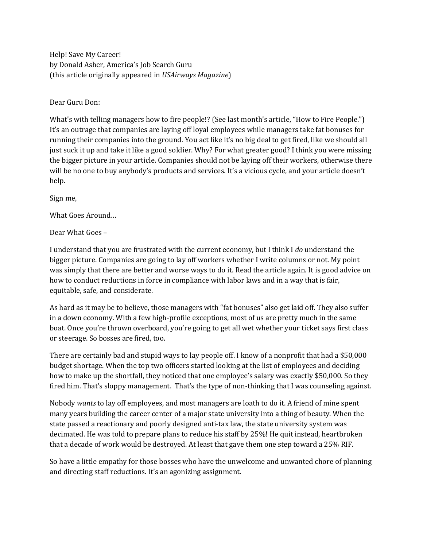Help! Save My Career! by Donald Asher, America's Job Search Guru (this article originally appeared in *USAirways Magazine*)

Dear Guru Don:

What's with telling managers how to fire people!? (See last month's article, "How to Fire People.") It's an outrage that companies are laying off loyal employees while managers take fat bonuses for running their companies into the ground. You act like it's no big deal to get fired, like we should all just suck it up and take it like a good soldier. Why? For what greater good? I think you were missing the bigger picture in your article. Companies should not be laying off their workers, otherwise there will be no one to buy anybody's products and services. It's a vicious cycle, and your article doesn't help.

Sign me,

What Goes Around…

Dear What Goes –

I understand that you are frustrated with the current economy, but I think I *do* understand the bigger picture. Companies are going to lay off workers whether I write columns or not. My point was simply that there are better and worse ways to do it. Read the article again. It is good advice on how to conduct reductions in force in compliance with labor laws and in a way that is fair, equitable, safe, and considerate.

As hard as it may be to believe, those managers with "fat bonuses" also get laid off. They also suffer in a down economy. With a few high-profile exceptions, most of us are pretty much in the same boat. Once you're thrown overboard, you're going to get all wet whether your ticket says first class or steerage. So bosses are fired, too.

There are certainly bad and stupid ways to lay people off. I know of a nonprofit that had a \$50,000 budget shortage. When the top two officers started looking at the list of employees and deciding how to make up the shortfall, they noticed that one employee's salary was exactly \$50,000. So they fired him. That's sloppy management. That's the type of non-thinking that I was counseling against.

Nobody *wants* to lay off employees, and most managers are loath to do it. A friend of mine spent many years building the career center of a major state university into a thing of beauty. When the state passed a reactionary and poorly designed anti-tax law, the state university system was decimated. He was told to prepare plans to reduce his staff by 25%! He quit instead, heartbroken that a decade of work would be destroyed. At least that gave them one step toward a 25% RIF.

So have a little empathy for those bosses who have the unwelcome and unwanted chore of planning and directing staff reductions. It's an agonizing assignment.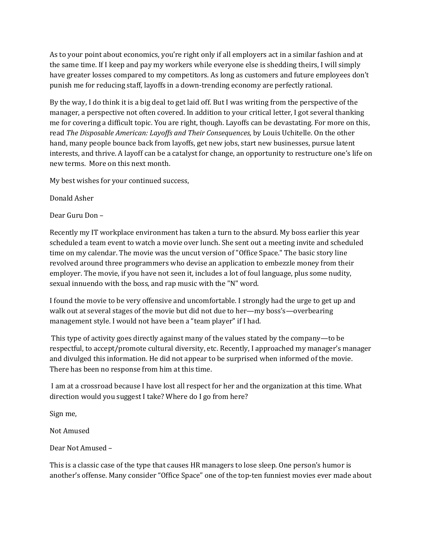As to your point about economics, you're right only if all employers act in a similar fashion and at the same time. If I keep and pay my workers while everyone else is shedding theirs, I will simply have greater losses compared to my competitors. As long as customers and future employees don't punish me for reducing staff, layoffs in a down-trending economy are perfectly rational.

By the way, I do think it is a big deal to get laid off. But I was writing from the perspective of the manager, a perspective not often covered. In addition to your critical letter, I got several thanking me for covering a difficult topic. You are right, though. Layoffs can be devastating. For more on this, read *The Disposable American: Layoffs and Their Consequences,* by Louis Uchitelle. On the other hand, many people bounce back from layoffs, get new jobs, start new businesses, pursue latent interests, and thrive. A layoff can be a catalyst for change, an opportunity to restructure one's life on new terms. More on this next month.

My best wishes for your continued success,

Donald Asher

Dear Guru Don –

Recently my IT workplace environment has taken a turn to the absurd. My boss earlier this year scheduled a team event to watch a movie over lunch. She sent out a meeting invite and scheduled time on my calendar. The movie was the uncut version of "Office Space." The basic story line revolved around three programmers who devise an application to embezzle money from their employer. The movie, if you have not seen it, includes a lot of foul language, plus some nudity, sexual innuendo with the boss, and rap music with the "N" word.

I found the movie to be very offensive and uncomfortable. I strongly had the urge to get up and walk out at several stages of the movie but did not due to her—my boss's—overbearing management style. I would not have been a "team player" if I had.

This type of activity goes directly against many of the values stated by the company—to be respectful, to accept/promote cultural diversity, etc. Recently, I approached my manager's manager and divulged this information. He did not appear to be surprised when informed of the movie. There has been no response from him at this time.

I am at a crossroad because I have lost all respect for her and the organization at this time. What direction would you suggest I take? Where do I go from here?

Sign me,

Not Amused

Dear Not Amused –

This is a classic case of the type that causes HR managers to lose sleep. One person's humor is another's offense. Many consider "Office Space" one of the top-ten funniest movies ever made about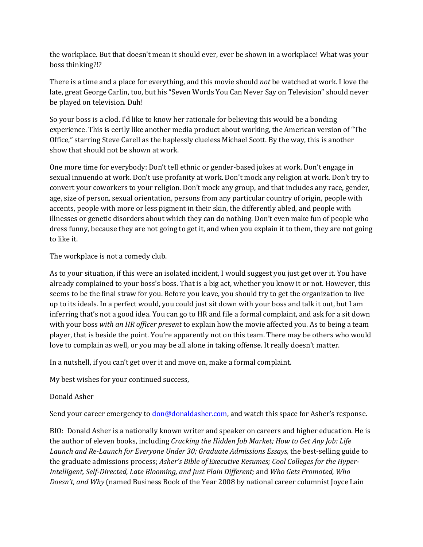the workplace. But that doesn't mean it should ever, ever be shown in a workplace! What was your boss thinking?!?

There is a time and a place for everything, and this movie should *not* be watched at work. I love the late, great George Carlin, too, but his "Seven Words You Can Never Say on Television" should never be played on television. Duh!

So your boss is a clod. I'd like to know her rationale for believing this would be a bonding experience. This is eerily like another media product about working, the American version of "The Office," starring Steve Carell as the haplessly clueless Michael Scott. By the way, this is another show that should not be shown at work.

One more time for everybody: Don't tell ethnic or gender-based jokes at work. Don't engage in sexual innuendo at work. Don't use profanity at work. Don't mock any religion at work. Don't try to convert your coworkers to your religion. Don't mock any group, and that includes any race, gender, age, size of person, sexual orientation, persons from any particular country of origin, people with accents, people with more or less pigment in their skin, the differently abled, and people with illnesses or genetic disorders about which they can do nothing. Don't even make fun of people who dress funny, because they are not going to get it, and when you explain it to them, they are not going to like it.

The workplace is not a comedy club.

As to your situation, if this were an isolated incident, I would suggest you just get over it. You have already complained to your boss's boss. That is a big act, whether you know it or not. However, this seems to be the final straw for you. Before you leave, you should try to get the organization to live up to its ideals. In a perfect would, you could just sit down with your boss and talk it out, but I am inferring that's not a good idea. You can go to HR and file a formal complaint, and ask for a sit down with your boss *with an HR officer present* to explain how the movie affected you. As to being a team player, that is beside the point. You're apparently not on this team. There may be others who would love to complain as well, or you may be all alone in taking offense. It really doesn't matter.

In a nutshell, if you can't get over it and move on, make a formal complaint.

My best wishes for your continued success,

## Donald Asher

Send your career emergency to <u>don@donaldasher.com</u>, and watch this space for Asher's response.

BIO: Donald Asher is a nationally known writer and speaker on careers and higher education. He is the author of eleven books, including *Cracking the Hidden Job Market; How to Get Any Job: Life Launch and Re-Launch for Everyone Under 30; Graduate Admissions Essays,* the best-selling guide to the graduate admissions process; *Asher's Bible of Executive Resumes; Cool Colleges for the Hyper-Intelligent, Self-Directed, Late Blooming, and Just Plain Different;* and *Who Gets Promoted, Who Doesn't, and Why* (named Business Book of the Year 2008 by national career columnist Joyce Lain